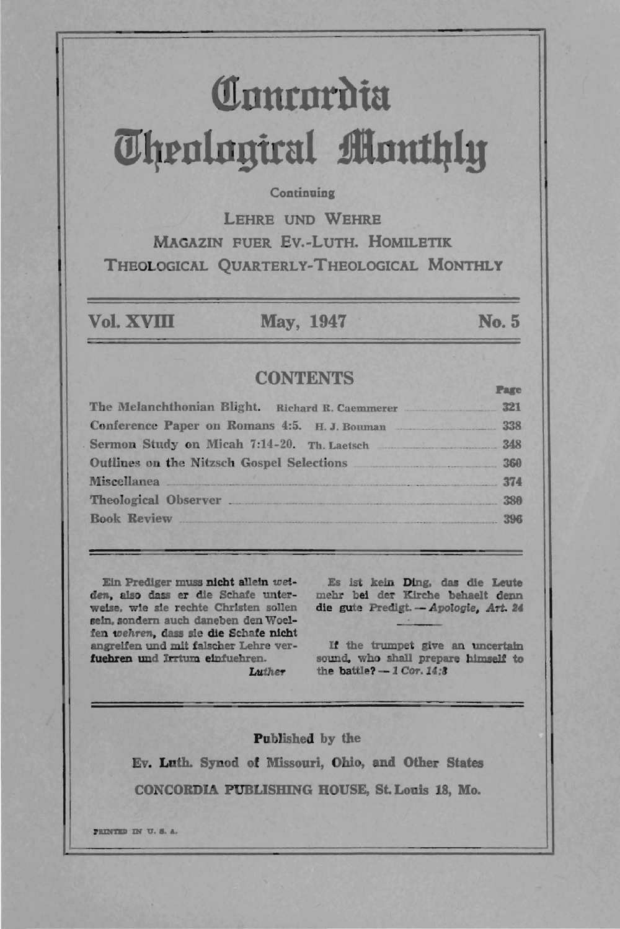# **Comrom** m~tn1ngirul **flnut1}ly**

#### **Continuing**

LEHRE UNO WEHRE MAGAZIN FUER Ev.-LUTH. HOMlLETlK THEOLOGICAL QUARTERLY-THEOLOGICAL MONTHLY

Vol. XVIII May, 1947

#### No.5

Pap

# **CONTENTS**

| The Melanchthonian Blight. Richard R. Caemmerer 321 |     |
|-----------------------------------------------------|-----|
| Conference Paper on Romans 4:5. H.J. Bouman 338     |     |
| Sermon Study on Micah 7.14-20. Th. Laetsch 348      |     |
| Outlines on the Nitzsch Gospel Selections 360       |     |
| Miscellanea 374                                     |     |
| Theological Observer 380                            |     |
| <b>Book Review</b>                                  | 396 |
|                                                     |     |

Ein Prediger muss nicht allein weiden, also dass er die Schafe unterweise. wle ale recbte ChrIsten sollen seln.sondern auch daneben den Woe1 fen *wehren*, dass sie die Schafe nicht angrelfen und mit falscber Lehre verfuehren und Irrtum elnfuehren.

Es ist kein Ding, das die Leute mehr bei der Kirche behaelt denn die gute Predigt. - Apologie, Art. 24

If the trumpet give an uncertain sound, who shall prepare himself to the battle?  $-1$  Cor. 14:3

Luthe7-

Published by the

Ev. Luth. Synod of Missouri, Ohio, aud Other States CONCORDIA PUBUSBING BOUSE, St. Louis 18, Mo.

**PRINTED IN U.S.A.**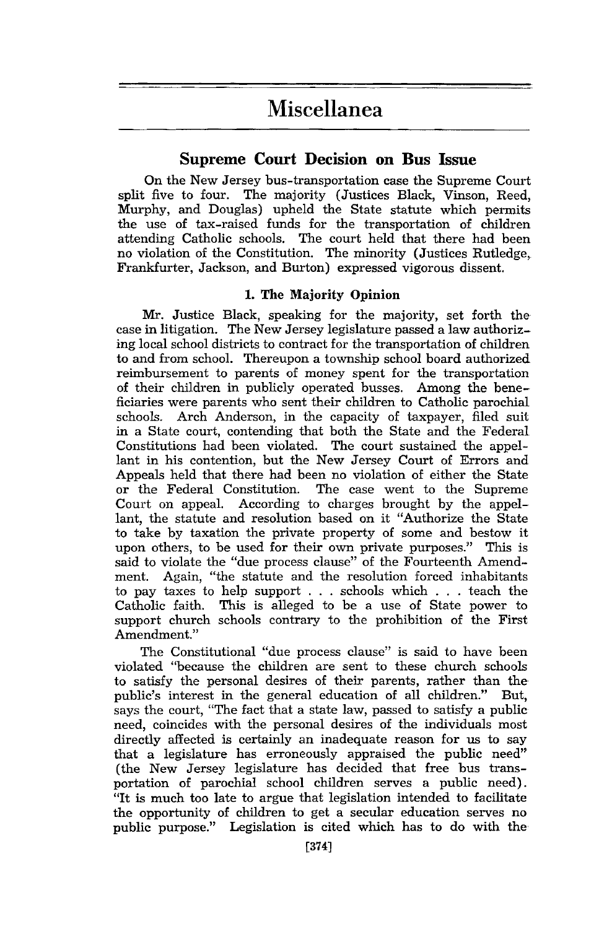# **Miscellanea**

## **Supreme Court Decision on Bus Issue**

On the New Jersey bus-transportation case the Supreme Court split five to four. The majority (Justices Black, Vinson, Reed, Murphy, and Douglas) upheld the State statute which permits the use of tax-raised funds for the transportation of children attending Catholic schools. The court held that there had been no violation of the Constitution. The minority (Justices Rutledge, Frankfurter, Jackson, and Burton) expressed vigorous dissent.

#### 1. The Majority Opinion

Mr. Justice Black, speaking for the majority, set forth the case in litigation. The New Jersey legislature passed a law authorizing local school districts to contract for the transportation of children to and from school. Thereupon a township school board authorized reimbursement to parents of money spent for the transportation of their children in publicly operated busses. Among the beneficiaries were parents who sent their children to Catholic parochial<br>schools. Arch Anderson, in the capacity of taxpayer, filed suit Arch Anderson, in the capacity of taxpayer, filed suit in a State court, contending that both the State and the Federal Constitutions had been violated. The court sustained the appellant in his contention, but the New Jersey Court of Errors and Appeals held that there had been no violation of either the State<br>or the Federal Constitution. The case went to the Supreme The case went to the Supreme Court on appeal. According to charges brought by the appellant, the statute and resolution based on it "Authorize the State to take by taxation the private property of some and bestow it upon others, to be used for their own private purposes." This is said to violate the "due process clause" of the Fourteenth Amendment. Again, "the statute and the resolution forced inhabitants to pay taxes to help support . . . schools which . . . teach the Catholic faith. This is alleged to be a use of State power to support church schools contrary to the prohibition of the First Amendment."

The Constitutional "due process clause" is said to have been violated "because the children are sent to these church schools to satisfy the personal desires of their parents, rather than the public's interest in the general education of all children." But, says the court, "The fact that a state law, passed to satisfy a public need, coincides with the personal desires of the individuals most directly affected is certainly an inadequate reason for us to say that a legislature has erroneously appraised the public need" (the New Jersey legislature has decided that free bus transportation of parochial school children serves a public need). "It is much too late to argue that legislation intended to facilitate the opportunity of children to get a secular education serves no public purpose." Legislation is cited which has to do with the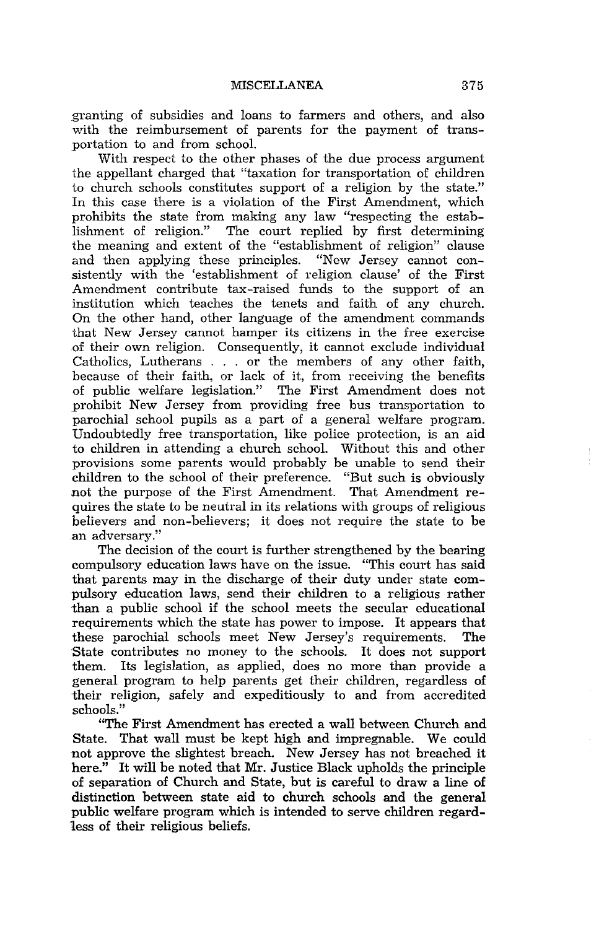granting of subsidies and loans to farmers and others, and also with the reimbursement of parents for the payment of transportation to and from school.

With respect to the other phases of the due process argument the appellant charged that "taxation for transportation of children to church schools constitutes support of a religion by the state." In this case there is a violation of the First Amendment, which prohibits the state from making any law "respecting the establishment of religion." The court replied by first determining the meaning and extent of the "establishment of religion" clause and then applying these principles. "New Jersey cannot consistently with the 'establishment of religion clause' of the First Amendment contribute tax-raised funds to the support of an institution which teaches the tenets and faith of any church. On the other hand, other language of the amendment commands that New Jersey cannot hamper its citizens in the free exercise of their own religion. Consequently, it cannot exclude individual Catholics, Lutherans . . . or the members of any other faith, because of their faith, or lack of it, from receiving the benefits of public welfare legislation." The First Amendment does not prohibit New Jersey from providing free bus transportation to parochial school pupils as a part of a general welfare program. Undoubtedly free transportation, like police protection, is an aid to children in attending a church school. Without this and other provisions some parents would probably be unable to send their children to the school of their preference. "But such is obviously not the purpose of the First Amendment. That Amendment requires the state to be neutral in its relations with groups of religious believers and non-believers; it does not require the state to be an adversary."

The decision of the court is further strengthened by the bearing compulsory education laws have on the issue. "This court has said that parents may in the discharge of their duty under state compulsory education laws, send their children to a religious rather than a public school if the school meets the secular educational requirements which the state has power to impose. It appears that these parochial schools meet New Jersey's requirements. The these parochial schools meet New Jersey's requirements. State contributes no money to the schools. It does not support them. Its legislation, as applied, does no more than provide a general program to help parents get their children, regardless of their religion, safely and expeditiously to and from accredited schools."

"The First Amendment has erected a wall between Church and State. That wall must be kept high and impregnable. We could not approve the slightest breach. New Jersey has not breached it here." It will be noted that Mr. Justice Black upholds the principle of separation of Church and State, but is careful to draw a line of distinction between state aid to church schools and the general public welfare program which is intended to serve children regardless of their religious beliefs.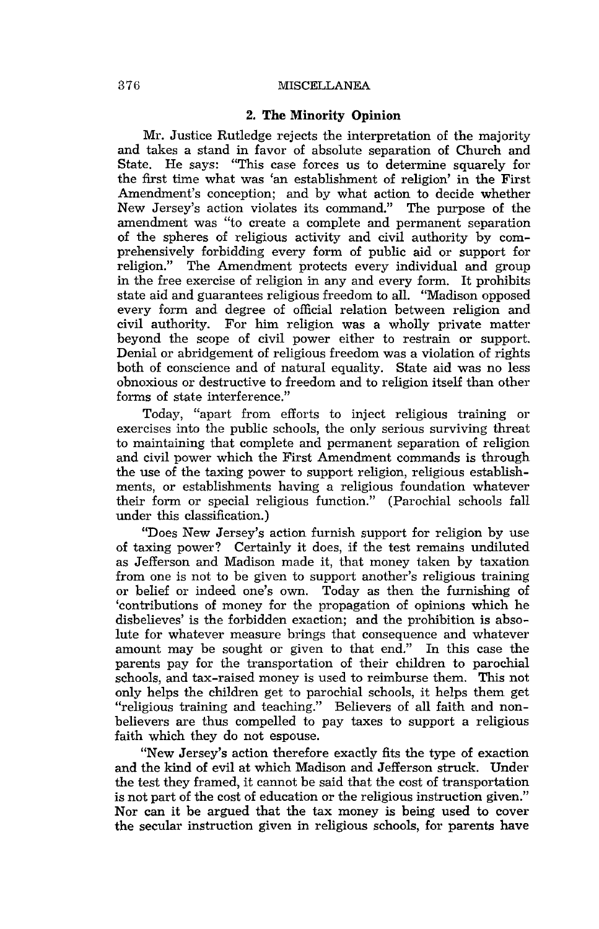#### 376 MISCELLANEA

#### 2. The Minority Opinion

Mr. Justice Rutledge rejects the interpretation of the majority and takes a stand in favor of absolute separation of Church and State. He says: "This case forces us to determine squarely for the first time what was 'an establishment of religion' in the First Amendment's conception; and by what action to decide whether New Jersey's action violates its command." The purpose of the amendment was "to create a complete and permanent separation of the spheres of religious activity and civil authority by comprehensively forbidding every form of public aid or support for religion." The Amendment protects every individual and group in the free exercise of religion in any and every form. It prohibits state aid and guarantees religious freedom to all. "Madison opposed every form and degree of official relation between religion and civil authority. For him religion was a wholly private matter For him religion was a wholly private matter beyond the scope of civil power either to restrain or support. Denial or abridgement of religious freedom was a violation of rights both of conscience and of natural equality. State aid was no less obnoxious or destructive to freedom and to religion itself than other forms of state interference."

Today, "apart from efforts to inject religious training or exercises into the public schools, the only serious surviving threat to maintaining that complete and permanent separation of religion and civil power which the First Amendment commands is through the use of the taxing power to support religion, religious establishments, or establishments having a religious foundation whatever their form or special religious function." (Parochial schools fall under this classification.)

"Does New Jersey's action furnish support for religion by use of taxing power? Certainly it does, if the test remains undiluted as Jefferson and Madison made it, that money taken by taxation from one is not to be given to support another's religious training or belief or indeed one's own. Today as then the furnishing of 'contributions of money for the propagation of opinions which he disbelieves' is the forbidden exaction; and the prohibition is absolute for whatever measure brings that consequence and whatever amount may be sought or given to that end." In this case the parents pay for the transportation of their children to parochial schools, and tax-raised money is used to reimburse them. This not only helps the children get to parochial schools, it helps them get "religious training and teaching." Believers of all faith and nonbelievers are thus compelled to pay taxes to support a religious faith which they do not espouse.

"New Jersey's action therefore exactly fits the type of exaction and the kind of evil at which Madison and Jefferson struck. Under the test they framed, it cannot be said that the cost of transportation is not part of the cost of education or the religious instruction given." Nor can it be argued that the tax money is being used to cover the secular instruction given in religious schools, for parents have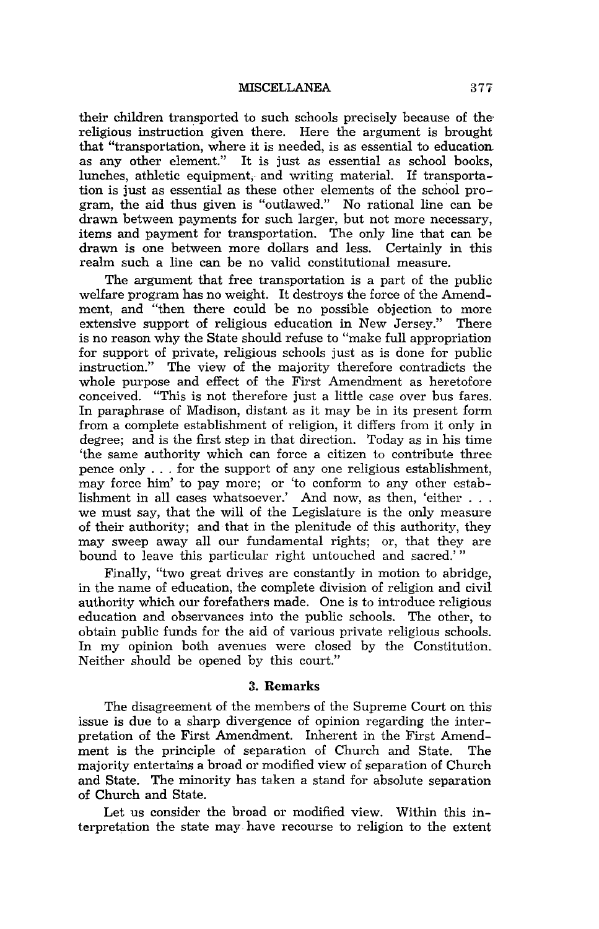MISCELLANEA 377

their children transported to such schools precisely because of the religious instruction given there. Here the argument is brought that "transportation, where it is needed, is as essential to education as any other element." It is just as essential as school books, lunches, athletic equipment; and writing material. If transportation is just as essential as these other elements of the school program, the aid thus given is "outlawed." No rational line can be drawn between payments for such larger, but not more necessary, items and payment for transportation. The only line that can be drawn is one between more dollars and less. Certainly in this realm such a line can be no valid constitutional measure.

The argument that free transportation is a part of the public welfare program has no weight. It destroys the force of the Amendment, and "then there could be no possible objection to more extensive support of religious education in New Jersey." There is no reason why the State should refuse to "make full appropriation for support of private, religious schools just as is done for public instruction." The view of the majority therefore contradicts the whole purpose and effect of the First Amendment as heretofore conceived. "This is not therefore just a little case over bus fares. In paraphrase of Madison, distant as it may be in its present torm from a complete establishment of religion, it differs from it only in degree; and is the first step in that direction. Today as in his time 'the same authority which can force a citizen to contribute three pence only ... for the support of anyone religious establishment, may force him' to pay more; or 'to conform to any other estab-lishment in all cases whatsoever.' And now, as then, 'either ... we must say, that the will of the Legislature is the only measure of their authority; and that in the plenitude of this authority, they may sweep away all our fundamental rights; or, that they are bound to leave this particular right untouched and sacred.'"

Finally, "two great drives are constantly in motion to abridge, in the name of education, the complete division of religion and civil authority which our forefathers made. One is to introduce religious education and observances into the public schools. The other, to obtain public funds for the aid of various private religious schools. In my opinion both avenues were closed by the Constitution. Neither should be opened by this court."

#### 3. Remarks

The disagreement of the members of the Supreme Court on this' issue is due to a sharp divergence of opinion regarding the interpretation of the First Amendment. Inherent in the First Amendment is the principle of separation of Church and State. The majority entertains a broad or modified view of separation of Church and State. The minority has taken a stand for absolute separation of Church and State.

Let us consider the broad or modified view. Within this interpretation the state may· have recourse to religion to the extent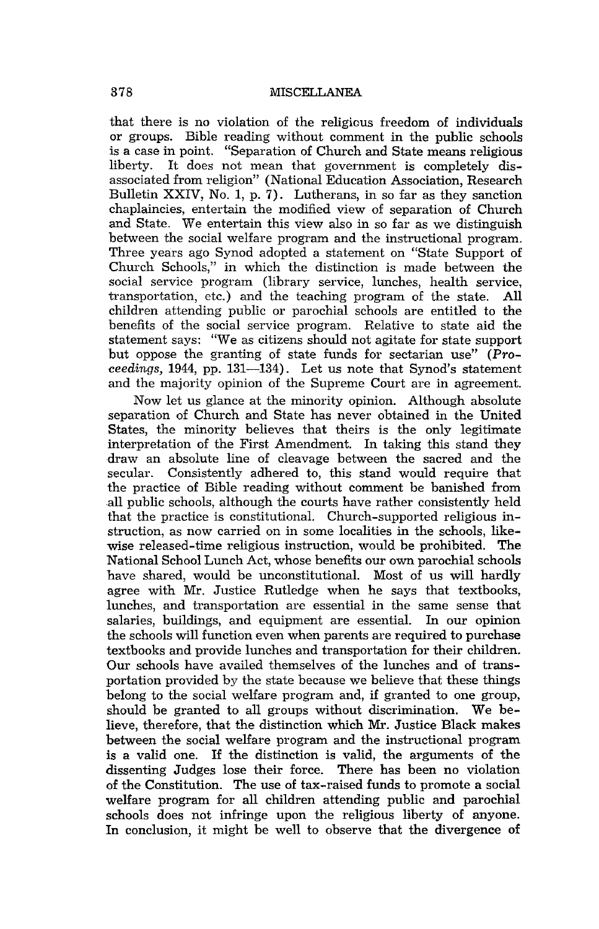that there is no violation of the religious freedom of individuals or groups. Bible reading without comment in the public schools is a case in point. "Separation of Church and State means religious It does not mean that government is completely disassociated from religion" (National Education Association, Research Bulletin XXIV, No.1, p. 7). Lutherans, in so far as they sanction chaplaincies, entertain the modified view of separation of Church and State. We entertain this view also in so far as we distinguish between the social welfare program and the instructional program. Three years ago Synod adopted a statement on "State Support of Church Schools," in which the distinction is made between the social service program (library service, lunches, health service, transportation, etc.) and the teaching program of the state. All children attending public or parochial schools are entitled to the benefits of the social service program. Relative to state aid the statement says: "We as citizens should not agitate for state support but oppose the granting of state funds for sectarian use" (Pro*ceedings,* 1944, pp. 131-134). Let us note that Synod's statement and the majority opinion of the Supreme Court are in agreement.

Now let us glance at the minority opinion. Although absolute separation of Church and State has never obtained in the United States, the minority believes that theirs is the only legitimate interpretation of the First Amendment. In taking this stand they draw an absolute line of cleavage between the sacred and the secular. Consistently adhered to, this stand would require that the practice of Bible reading without comment be banished from all public schools, although the courts have rather consistently held that the practice is constitutional. Church-supported religious instruction, as now carried on in some localities in the schools, likewise released-time religious instruction, would be prohibited. The National School Lunch Act, whose benefits our own parochial schools have shared, would be unconstitutional. Most of us will hardly agree with Mr. Justice Rutledge when he says that textbooks, lunches, and transportation are essential in the same sense that salaries, buildings, and equipment are essential. In our opinion the schools will function even when parents are required to purchase textbooks and provide lunches and transportation for their children. Our schools have availed themselves of the lunches and of transportation provided by the state because we believe that these things belong to the social welfare program and, if granted to one group, should be granted to all groups without discrimination. We believe, therefore, that the distinction which Mr. Justice Black makes between the social welfare program and the instructional program is a valid one. If the distinction is valid, the arguments of the dissenting Judges lose their force. There has been no violation of the Constitution. The use of tax-raised funds to promote a social welfare program for all children attending public and parochial schools does not infringe upon the religious liberty of anyone. In conclusion, it might be well to observe that the divergence of